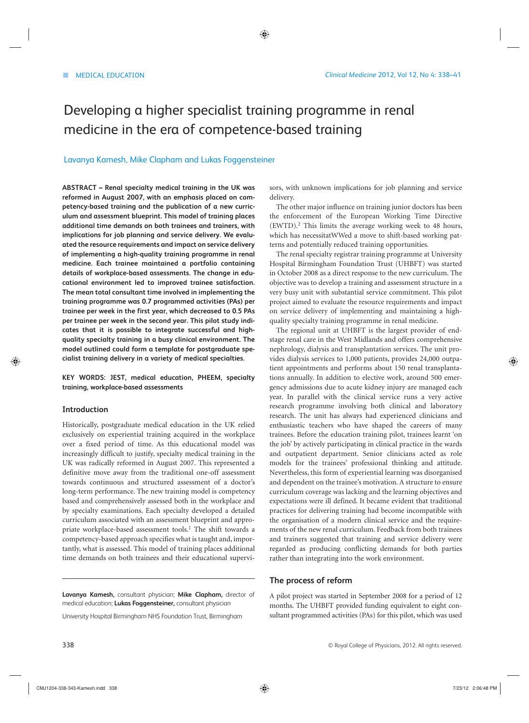# Developing a higher specialist training programme in renal medicine in the era of competence-based training

# Lavanya Kamesh, Mike Clapham and Lukas Foggensteiner

**ABSTRACT – Renal specialty medical training in the UK was reformed in August 2007, with an emphasis placed on competency-based training and the publication of a new curriculum and assessment blueprint. This model of training places additional time demands on both trainees and trainers, with implications for job planning and service delivery. We evaluated the resource requirements and impact on service delivery of implementing a high-quality training programme in renal medicine. Each trainee maintained a portfolio containing details of workplace-based assessments. The change in educational environment led to improved trainee satisfaction. The mean total consultant time involved in implementing the training programme was 0.7 programmed activities (PAs) per trainee per week in the first year, which decreased to 0.5 PAs per trainee per week in the second year. This pilot study indicates that it is possible to integrate successful and highquality specialty training in a busy clinical environment. The model outlined could form a template for postgraduate specialist training delivery in a variety of medical specialties.**

**KEY WORDS: JEST, medical education, PHEEM, specialty training, workplace-based assessments**

# **Introduction**

Historically, postgraduate medical education in the UK relied exclusively on experiential training acquired in the workplace over a fixed period of time. As this educational model was increasingly difficult to justify, specialty medical training in the UK was radically reformed in August 2007. This represented a definitive move away from the traditional one-off assessment towards continuous and structured assessment of a doctor's long-term performance. The new training model is competency based and comprehensively assessed both in the workplace and by specialty examinations. Each specialty developed a detailed curriculum associated with an assessment blueprint and appropriate workplace-based assessment tools.<sup>1</sup> The shift towards a competency-based approach specifies what is taught and, importantly, what is assessed. This model of training places additional time demands on both trainees and their educational supervi-

**Lavanya Kamesh,** consultant physician; **Mike Clapham,** director of medical education; **Lukas Foggensteiner,** consultant physician

University Hospital Birmingham NHS Foundation Trust, Birmingham

sors, with unknown implications for job planning and service delivery.

The other major influence on training junior doctors has been the enforcement of the European Working Time Directive (EWTD).2 This limits the average working week to 48 hours, which has necessitatWWed a move to shift-based working patterns and potentially reduced training opportunities.

The renal specialty registrar training programme at University Hospital Birmingham Foundation Trust (UHBFT) was started in October 2008 as a direct response to the new curriculum. The objective was to develop a training and assessment structure in a very busy unit with substantial service commitment. This pilot project aimed to evaluate the resource requirements and impact on service delivery of implementing and maintaining a highquality specialty training programme in renal medicine.

The regional unit at UHBFT is the largest provider of endstage renal care in the West Midlands and offers comprehensive nephrology, dialysis and transplantation services. The unit provides dialysis services to 1,000 patients, provides 24,000 outpatient appointments and performs about 150 renal transplantations annually. In addition to elective work, around 500 emergency admissions due to acute kidney injury are managed each year. In parallel with the clinical service runs a very active research programme involving both clinical and laboratory research. The unit has always had experienced clinicians and enthusiastic teachers who have shaped the careers of many trainees. Before the education training pilot, trainees learnt 'on the job' by actively participating in clinical practice in the wards and outpatient department. Senior clinicians acted as role models for the trainees' professional thinking and attitude. Nevertheless, this form of experiential learning was disorganised and dependent on the trainee's motivation. A structure to ensure curriculum coverage was lacking and the learning objectives and expectations were ill defined. It became evident that traditional practices for delivering training had become incompatible with the organisation of a modern clinical service and the requirements of the new renal curriculum. Feedback from both trainees and trainers suggested that training and service delivery were regarded as producing conflicting demands for both parties rather than integrating into the work environment.

# **The process of reform**

A pilot project was started in September 2008 for a period of 12 months. The UHBFT provided funding equivalent to eight consultant programmed activities (PAs) for this pilot, which was used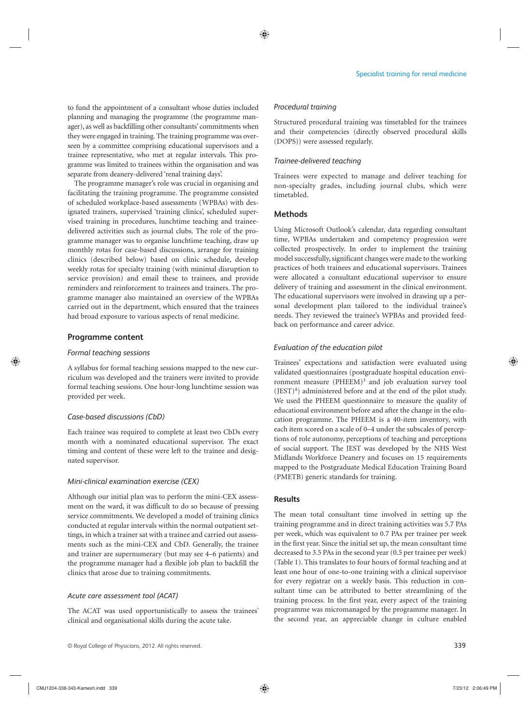to fund the appointment of a consultant whose duties included planning and managing the programme (the programme manager), as well as backfilling other consultants' commitments when they were engaged in training. The training programme was overseen by a committee comprising educational supervisors and a trainee representative, who met at regular intervals. This programme was limited to trainees within the organisation and was separate from deanery-delivered 'renal training days'.

The programme manager's role was crucial in organising and facilitating the training programme. The programme consisted of scheduled workplace-based assessments (WPBAs) with designated trainers, supervised 'training clinics', scheduled supervised training in procedures, lunchtime teaching and traineedelivered activities such as journal clubs. The role of the programme manager was to organise lunchtime teaching, draw up monthly rotas for case-based discussions, arrange for training clinics (described below) based on clinic schedule, develop weekly rotas for specialty training (with minimal disruption to service provision) and email these to trainees, and provide reminders and reinforcement to trainees and trainers. The programme manager also maintained an overview of the WPBAs carried out in the department, which ensured that the trainees had broad exposure to various aspects of renal medicine.

## **Programme content**

#### *Formal teaching sessions*

A syllabus for formal teaching sessions mapped to the new curriculum was developed and the trainers were invited to provide formal teaching sessions. One hour-long lunchtime session was provided per week.

#### *Case-based discussions (CbD)*

Each trainee was required to complete at least two CbDs every month with a nominated educational supervisor. The exact timing and content of these were left to the trainee and designated supervisor.

#### *Mini-clinical examination exercise (CEX)*

Although our initial plan was to perform the mini-CEX assessment on the ward, it was difficult to do so because of pressing service commitments. We developed a model of training clinics conducted at regular intervals within the normal outpatient settings, in which a trainer sat with a trainee and carried out assessments such as the mini-CEX and CbD. Generally, the trainee and trainer are supernumerary (but may see 4–6 patients) and the programme manager had a flexible job plan to backfill the clinics that arose due to training commitments.

## *Acute care assessment tool (ACAT)*

The ACAT was used opportunistically to assess the trainees' clinical and organisational skills during the acute take.

#### *Procedural training*

Structured procedural training was timetabled for the trainees and their competencies (directly observed procedural skills (DOPS)) were assessed regularly.

#### *Trainee-delivered teaching*

Trainees were expected to manage and deliver teaching for non-specialty grades, including journal clubs, which were timetabled.

## **Methods**

Using Microsoft Outlook's calendar, data regarding consultant time, WPBAs undertaken and competency progression were collected prospectively. In order to implement the training model successfully, significant changes were made to the working practices of both trainees and educational supervisors. Trainees were allocated a consultant educational supervisor to ensure delivery of training and assessment in the clinical environment. The educational supervisors were involved in drawing up a personal development plan tailored to the individual trainee's needs. They reviewed the trainee's WPBAs and provided feedback on performance and career advice.

## *Evaluation of the education pilot*

Trainees' expectations and satisfaction were evaluated using validated questionnaires (postgraduate hospital education environment measure (PHEEM)<sup>3</sup> and job evaluation survey tool  $(JEST)^4$ ) administered before and at the end of the pilot study. We used the PHEEM questionnaire to measure the quality of educational environment before and after the change in the education programme. The PHEEM is a 40-item inventory, with each item scored on a scale of 0–4 under the subscales of perceptions of role autonomy, perceptions of teaching and perceptions of social support. The JEST was developed by the NHS West Midlands Workforce Deanery and focuses on 15 requirements mapped to the Postgraduate Medical Education Training Board (PMETB) generic standards for training.

## **Results**

The mean total consultant time involved in setting up the training programme and in direct training activities was 5.7 PAs per week, which was equivalent to 0.7 PAs per trainee per week in the first year. Since the initial set up, the mean consultant time decreased to 3.5 PAs in the second year (0.5 per trainee per week) (Table 1). This translates to four hours of formal teaching and at least one hour of one-to-one training with a clinical supervisor for every registrar on a weekly basis. This reduction in consultant time can be attributed to better streamlining of the training process. In the first year, every aspect of the training programme was micromanaged by the programme manager. In the second year, an appreciable change in culture enabled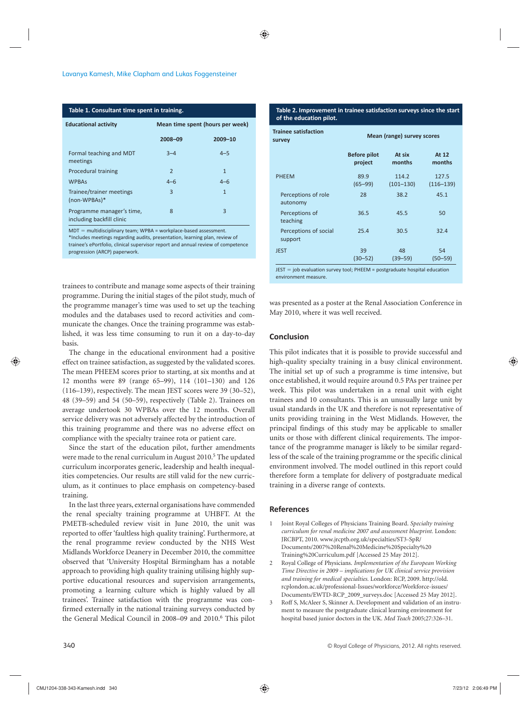| Table 1. Consultant time spent in training.            |                                  |              |  |  |
|--------------------------------------------------------|----------------------------------|--------------|--|--|
| <b>Educational activity</b>                            | Mean time spent (hours per week) |              |  |  |
|                                                        | 2008-09                          | 2009-10      |  |  |
| Formal teaching and MDT<br>meetings                    | $3 - 4$                          | $4 - 5$      |  |  |
| <b>Procedural training</b>                             | $\mathcal{P}$                    | $\mathbf{1}$ |  |  |
| <b>WPBAs</b>                                           | $4 - 6$                          | $4 - 6$      |  |  |
| Trainee/trainer meetings<br>$(non-WPBAs)*$             | 3                                | $\mathbf{1}$ |  |  |
| Programme manager's time,<br>including backfill clinic | 8                                | 3            |  |  |

 $MDT =$  multidisciplinary team; WPBA = workplace-based assessment. \*Includes meetings regarding audits, presentation, learning plan, review of trainee's ePortfolio, clinical supervisor report and annual review of competence progression (ARCP) paperwork.

trainees to contribute and manage some aspects of their training programme. During the initial stages of the pilot study, much of the programme manager's time was used to set up the teaching modules and the databases used to record activities and communicate the changes. Once the training programme was established, it was less time consuming to run it on a day-to-day basis.

The change in the educational environment had a positive effect on trainee satisfaction, as suggested by the validated scores. The mean PHEEM scores prior to starting, at six months and at 12 months were 89 (range 65–99), 114 (101–130) and 126 (116–139), respectively. The mean JEST scores were 39 (30–52), 48 (39–59) and 54 (50–59), respectively (Table 2). Trainees on average undertook 30 WPBAs over the 12 months. Overall service delivery was not adversely affected by the introduction of this training programme and there was no adverse effect on compliance with the specialty trainee rota or patient care.

Since the start of the education pilot, further amendments were made to the renal curriculum in August 2010.<sup>5</sup> The updated curriculum incorporates generic, leadership and health inequalities competencies. Our results are still valid for the new curriculum, as it continues to place emphasis on competency-based training.

In the last three years, external organisations have commended the renal specialty training programme at UHBFT. At the PMETB-scheduled review visit in June 2010, the unit was reported to offer 'faultless high quality training'. Furthermore, at the renal programme review conducted by the NHS West Midlands Workforce Deanery in December 2010, the committee observed that 'University Hospital Birmingham has a notable approach to providing high quality training utilising highly supportive educational resources and supervision arrangements, promoting a learning culture which is highly valued by all trainees'. Trainee satisfaction with the programme was confirmed externally in the national training surveys conducted by the General Medical Council in 2008–09 and 2010.<sup>6</sup> This pilot

| <b>Trainee satisfaction</b><br>survey | Mean (range) survey scores     |                        |                        |  |
|---------------------------------------|--------------------------------|------------------------|------------------------|--|
|                                       | <b>Before pilot</b><br>project | At six<br>months       | At 12<br>months        |  |
| <b>PHEEM</b>                          | 89.9<br>$(65 - 99)$            | 114.2<br>$(101 - 130)$ | 127.5<br>$(116 - 139)$ |  |
| Perceptions of role<br>autonomy       | 28                             | 38.2                   | 45.1                   |  |
| Perceptions of<br>teaching            | 36.5                           | 45.5                   | 50                     |  |
| Perceptions of social<br>support      | 25.4                           | 30.5                   | 32.4                   |  |
| <b>JEST</b>                           | 39<br>$(30 - 52)$              | 48<br>$(39 - 59)$      | 54<br>$(50 - 59)$      |  |

JEST = job evaluation survey tool; PHEEM = postgraduate hospital education environment measure.

was presented as a poster at the Renal Association Conference in May 2010, where it was well received.

## **Conclusion**

This pilot indicates that it is possible to provide successful and high-quality specialty training in a busy clinical environment. The initial set up of such a programme is time intensive, but once established, it would require around 0.5 PAs per trainee per week. This pilot was undertaken in a renal unit with eight trainees and 10 consultants. This is an unusually large unit by usual standards in the UK and therefore is not representative of units providing training in the West Midlands. However, the principal findings of this study may be applicable to smaller units or those with different clinical requirements. The importance of the programme manager is likely to be similar regardless of the scale of the training programme or the specific clinical environment involved. The model outlined in this report could therefore form a template for delivery of postgraduate medical training in a diverse range of contexts.

## **References**

- 1 Joint Royal Colleges of Physicians Training Board. *Specialty training curriculum for renal medicine 2007 and assessment blueprint.* London: JRCBPT, 2010. www.jrcptb.org.uk/specialties/ST3-SpR/ Documents/2007%20Renal%20Medicine%20Specialty%20 Training%20Curriculum.pdf [Accessed 25 May 2012].
- 2 Royal College of Physicians. *Implementation of the European Working Time Directive in 2009 – implications for UK clinical service provision and training for medical specialties.* London: RCP, 2009. http://old. rcplondon.ac.uk/professional-Issues/workforce/Workforce-issues/ Documents/EWTD-RCP\_2009\_surveys.doc [Accessed 25 May 2012].
- 3 Roff S, McAleer S, Skinner A. Development and validation of an instrument to measure the postgraduate clinical learning environment for hospital based junior doctors in the UK. *Med Teach* 2005;27:326–31.